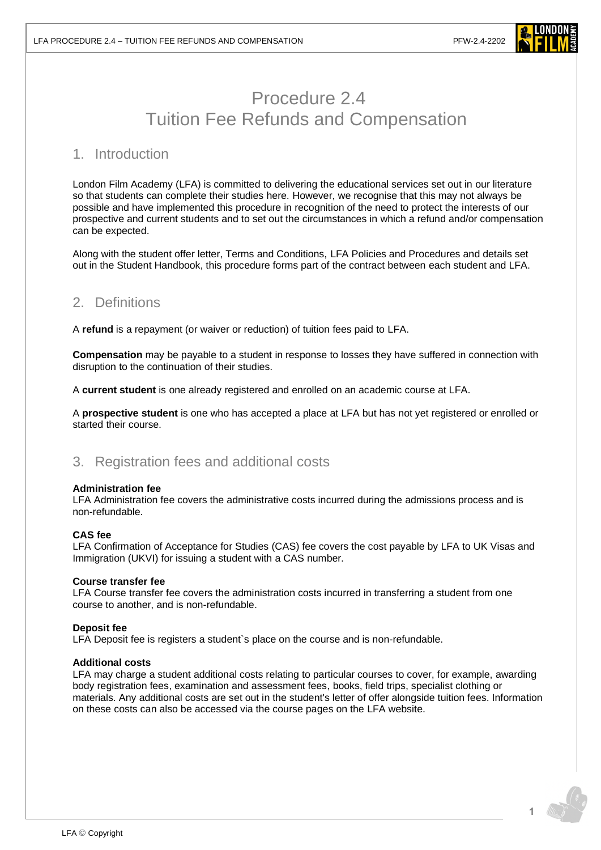

# Procedure 2.4 Tuition Fee Refunds and Compensation

### 1. Introduction

London Film Academy (LFA) is committed to delivering the educational services set out in our literature so that students can complete their studies here. However, we recognise that this may not always be possible and have implemented this procedure in recognition of the need to protect the interests of our prospective and current students and to set out the circumstances in which a refund and/or compensation can be expected.

Along with the student offer letter, Terms and Conditions, LFA Policies and Procedures and details set out in the Student Handbook, this procedure forms part of the contract between each student and LFA.

# 2. Definitions

A **refund** is a repayment (or waiver or reduction) of tuition fees paid to LFA.

**Compensation** may be payable to a student in response to losses they have suffered in connection with disruption to the continuation of their studies.

A **current student** is one already registered and enrolled on an academic course at LFA.

A **prospective student** is one who has accepted a place at LFA but has not yet registered or enrolled or started their course.

### 3. Registration fees and additional costs

### **Administration fee**

LFA Administration fee covers the administrative costs incurred during the admissions process and is non-refundable.

### **CAS fee**

LFA Confirmation of Acceptance for Studies (CAS) fee covers the cost payable by LFA to UK Visas and Immigration (UKVI) for issuing a student with a CAS number.

### **Course transfer fee**

LFA Course transfer fee covers the administration costs incurred in transferring a student from one course to another, and is non-refundable.

### **Deposit fee**

LFA Deposit fee is registers a student`s place on the course and is non-refundable.

### **Additional costs**

LFA may charge a student additional costs relating to particular courses to cover, for example, awarding body registration fees, examination and assessment fees, books, field trips, specialist clothing or materials. Any additional costs are set out in the student's letter of offer alongside tuition fees. Information on these costs can also be accessed via the course pages on the LFA website.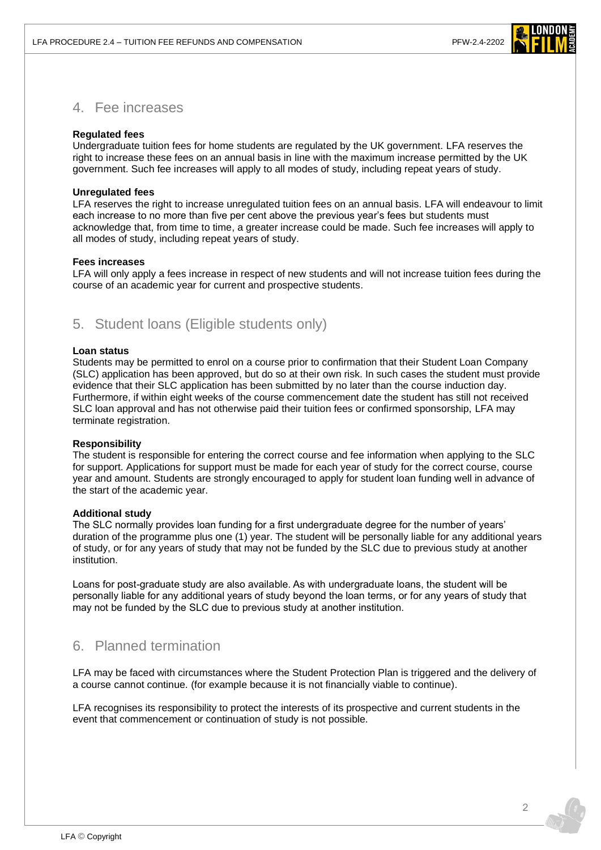

### 4. Fee increases

### **Regulated fees**

Undergraduate tuition fees for home students are regulated by the UK government. LFA reserves the right to increase these fees on an annual basis in line with the maximum increase permitted by the UK government. Such fee increases will apply to all modes of study, including repeat years of study.

### **Unregulated fees**

LFA reserves the right to increase unregulated tuition fees on an annual basis. LFA will endeavour to limit each increase to no more than five per cent above the previous year's fees but students must acknowledge that, from time to time, a greater increase could be made. Such fee increases will apply to all modes of study, including repeat years of study.

### **Fees increases**

LFA will only apply a fees increase in respect of new students and will not increase tuition fees during the course of an academic year for current and prospective students.

### 5. Student loans (Eligible students only)

#### **Loan status**

Students may be permitted to enrol on a course prior to confirmation that their Student Loan Company (SLC) application has been approved, but do so at their own risk. In such cases the student must provide evidence that their SLC application has been submitted by no later than the course induction day. Furthermore, if within eight weeks of the course commencement date the student has still not received SLC loan approval and has not otherwise paid their tuition fees or confirmed sponsorship, LFA may terminate registration.

#### **Responsibility**

The student is responsible for entering the correct course and fee information when applying to the SLC for support. Applications for support must be made for each year of study for the correct course, course year and amount. Students are strongly encouraged to apply for student loan funding well in advance of the start of the academic year.

#### **Additional study**

The SLC normally provides loan funding for a first undergraduate degree for the number of years' duration of the programme plus one (1) year. The student will be personally liable for any additional years of study, or for any years of study that may not be funded by the SLC due to previous study at another institution.

Loans for post-graduate study are also available. As with undergraduate loans, the student will be personally liable for any additional years of study beyond the loan terms, or for any years of study that may not be funded by the SLC due to previous study at another institution.

# 6. Planned termination

LFA may be faced with circumstances where the Student Protection Plan is triggered and the delivery of a course cannot continue. (for example because it is not financially viable to continue).

LFA recognises its responsibility to protect the interests of its prospective and current students in the event that commencement or continuation of study is not possible.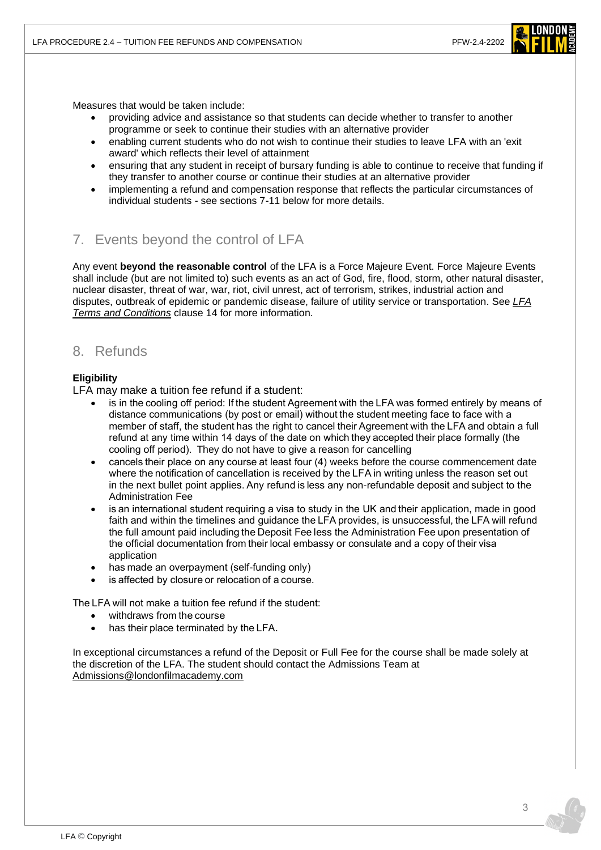

Measures that would be taken include:

- providing advice and assistance so that students can decide whether to transfer to another programme or seek to continue their studies with an alternative provider
- enabling current students who do not wish to continue their studies to leave LFA with an 'exit award' which reflects their level of attainment
- ensuring that any student in receipt of bursary funding is able to continue to receive that funding if they transfer to another course or continue their studies at an alternative provider
- implementing a refund and compensation response that reflects the particular circumstances of individual students - see sections 7-11 below for more details.

# 7. Events beyond the control of LFA

Any event **beyond the reasonable control** of the LFA is a Force Majeure Event. Force Majeure Events shall include (but are not limited to) such events as an act of God, fire, flood, storm, other natural disaster, nuclear disaster, threat of war, war, riot, civil unrest, act of terrorism, strikes, industrial action and disputes, outbreak of epidemic or pandemic disease, failure of utility service or transportation. See *[LFA](https://www.londonfilmacademy.com/LFA_Terms_Conditions.pdf)  [Terms and Conditions](https://www.londonfilmacademy.com/LFA_Terms_Conditions.pdf)* clause 14 for more information.

### 8. Refunds

### **Eligibility**

LFA may make a tuition fee refund if a student:

- is in the cooling off period: If the student Agreement with the LFA was formed entirely by means of distance communications (by post or email) without the student meeting face to face with a member of staff, the student has the right to cancel their Agreement with the LFA and obtain a full refund at any time within 14 days of the date on which they accepted their place formally (the cooling off period).  They do not have to give a reason for cancelling
- cancels their place on any course at least four (4) weeks before the course commencement date where the notification of cancellation is received by the LFA in writing unless the reason set out in the next bullet point applies. Any refund is less any non-refundable deposit and subject to the Administration Fee
- is an international student requiring a visa to study in the UK and their application, made in good faith and within the timelines and guidance the LFA provides, is unsuccessful, the LFA will refund the full amount paid including the Deposit Fee less the Administration Fee upon presentation of the official documentation from their local embassy or consulate and a copy of their visa application
- has made an overpayment (self-funding only)
- is affected by closure or relocation of a course.

The LFA will not make a tuition fee refund if the student: 

- withdraws from the course
- has their place terminated by the LFA.

In exceptional circumstances a refund of the Deposit or Full Fee for the course shall be made solely at the discretion of the LFA. The student should contact the Admissions Team at [Admissions@londonfilmacademy.com](mailto:Admissions@londonfilmacademy.com)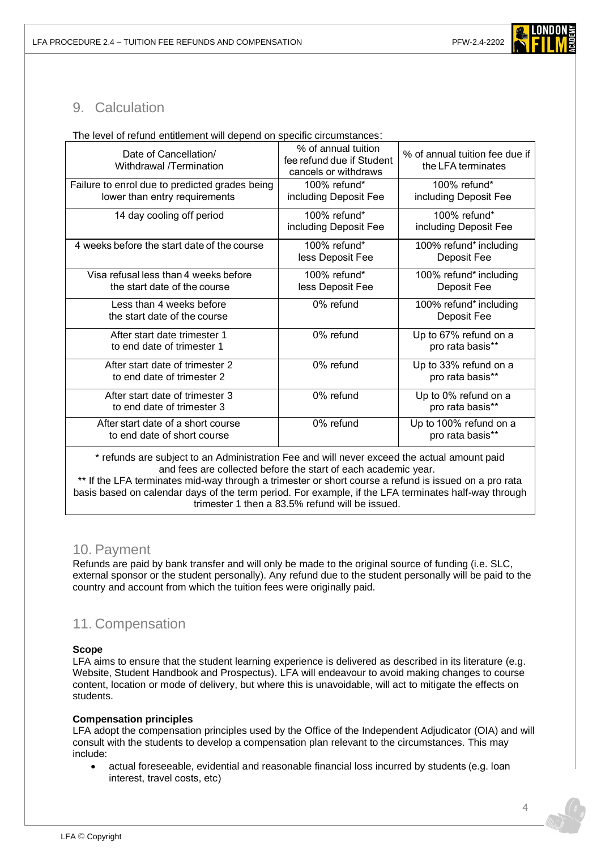LFA PROCEDURE 2.4 – TUITION FEE REFUNDS AND COMPENSATION PFW-2.4-2202



# 9. Calculation

|  |  | The level of refund entitlement will depend on specific circumstances: |
|--|--|------------------------------------------------------------------------|
|  |  |                                                                        |

| Date of Cancellation/<br>Withdrawal /Termination                                                                                                              | % of annual tuition<br>fee refund due if Student<br>cancels or withdraws | % of annual tuition fee due if<br>the LFA terminates |  |  |
|---------------------------------------------------------------------------------------------------------------------------------------------------------------|--------------------------------------------------------------------------|------------------------------------------------------|--|--|
| Failure to enrol due to predicted grades being<br>lower than entry requirements                                                                               | 100% refund*<br>including Deposit Fee                                    | 100% refund*<br>including Deposit Fee                |  |  |
| 14 day cooling off period                                                                                                                                     | 100% refund*<br>including Deposit Fee                                    | 100% refund*<br>including Deposit Fee                |  |  |
| 4 weeks before the start date of the course                                                                                                                   | 100% refund $*$<br>less Deposit Fee                                      | 100% refund* including<br>Deposit Fee                |  |  |
| Visa refusal less than 4 weeks before<br>the start date of the course                                                                                         | 100% refund*<br>less Deposit Fee                                         | 100% refund* including<br>Deposit Fee                |  |  |
| Less than 4 weeks before<br>the start date of the course                                                                                                      | 0% refund                                                                | 100% refund* including<br>Deposit Fee                |  |  |
| After start date trimester 1<br>to end date of trimester 1                                                                                                    | 0% refund                                                                | Up to 67% refund on a<br>pro rata basis**            |  |  |
| After start date of trimester 2<br>to end date of trimester 2                                                                                                 | 0% refund                                                                | Up to 33% refund on a<br>pro rata basis**            |  |  |
| After start date of trimester 3<br>to end date of trimester 3                                                                                                 | 0% refund                                                                | Up to 0% refund on a<br>pro rata basis**             |  |  |
| After start date of a short course<br>to end date of short course                                                                                             | 0% refund                                                                | Up to 100% refund on a<br>pro rata basis**           |  |  |
| * refunds are subject to an Administration Fee and will never exceed the actual amount paid<br>and fees are collected before the start of each academic year. |                                                                          |                                                      |  |  |

\*\* If the LFA terminates mid-way through a trimester or short course a refund is issued on a pro rata basis based on calendar days of the term period. For example, if the LFA terminates half-way through trimester 1 then a 83.5% refund will be issued.

### 10. Payment

Refunds are paid by bank transfer and will only be made to the original source of funding (i.e. SLC, external sponsor or the student personally). Any refund due to the student personally will be paid to the country and account from which the tuition fees were originally paid.

# 11. Compensation

### **Scope**

LFA aims to ensure that the student learning experience is delivered as described in its literature (e.g. Website, Student Handbook and Prospectus). LFA will endeavour to avoid making changes to course content, location or mode of delivery, but where this is unavoidable, will act to mitigate the effects on students.

### **Compensation principles**

LFA adopt the compensation principles used by the Office of the Independent Adjudicator (OIA) and will consult with the students to develop a compensation plan relevant to the circumstances. This may include:  

• actual foreseeable, evidential and reasonable financial loss incurred by students (e.g. loan interest, travel costs, etc)